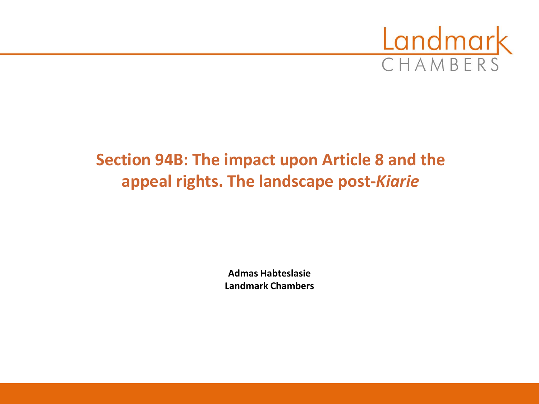

# **Section 94B: The impact upon Article 8 and the appeal rights. The landscape post-***Kiarie*

**Admas Habteslasie Landmark Chambers**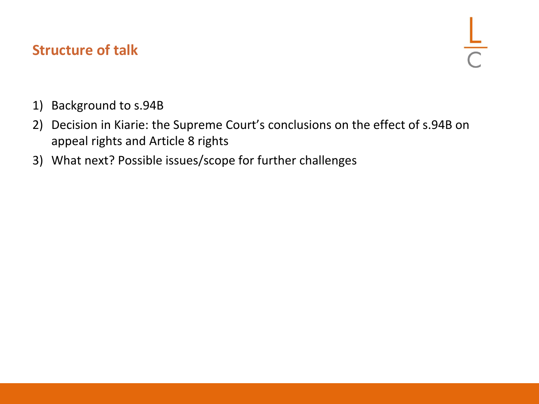#### **Structure of talk**

- 1) Background to s.94B
- 2) Decision in Kiarie: the Supreme Court's conclusions on the effect of s.94B on appeal rights and Article 8 rights
- 3) What next? Possible issues/scope for further challenges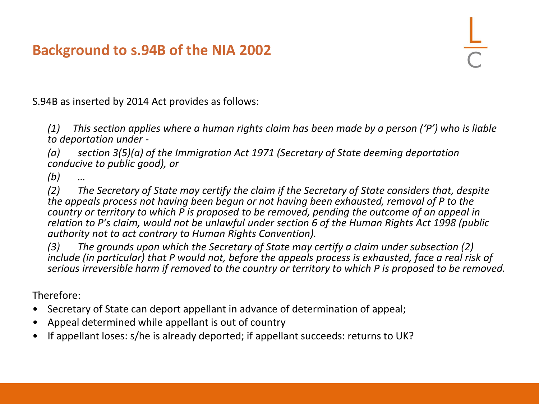S.94B as inserted by 2014 Act provides as follows:

*(1) This section applies where a human rights claim has been made by a person ('P') who is liable to deportation under -*

*(a) section 3(5)(a) of the Immigration Act 1971 (Secretary of State deeming deportation conducive to public good), or*

*(b) …*

*(2) The Secretary of State may certify the claim if the Secretary of State considers that, despite the appeals process not having been begun or not having been exhausted, removal of P to the country or territory to which P is proposed to be removed, pending the outcome of an appeal in relation to P's claim, would not be unlawful under section 6 of the Human Rights Act 1998 (public authority not to act contrary to Human Rights Convention).*

*(3) The grounds upon which the Secretary of State may certify a claim under subsection (2) include (in particular) that P would not, before the appeals process is exhausted, face a real risk of serious irreversible harm if removed to the country or territory to which P is proposed to be removed.*

Therefore:

- Secretary of State can deport appellant in advance of determination of appeal;
- Appeal determined while appellant is out of country
- If appellant loses: s/he is already deported; if appellant succeeds: returns to UK?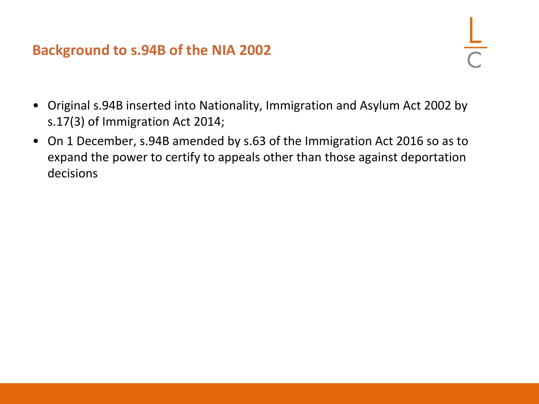- Original s.94B inserted into Nationality, Immigration and Asylum Act 2002 by s.17(3) of Immigration Act 2014;
- On 1 December, s.94B amended by s.63 of the Immigration Act 2016 so as to expand the power to certify to appeals other than those against deportation decisions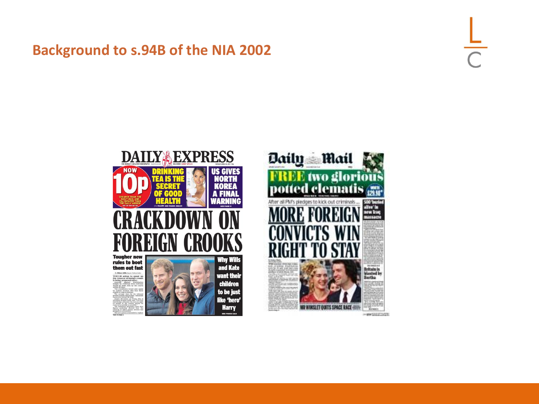



-excessive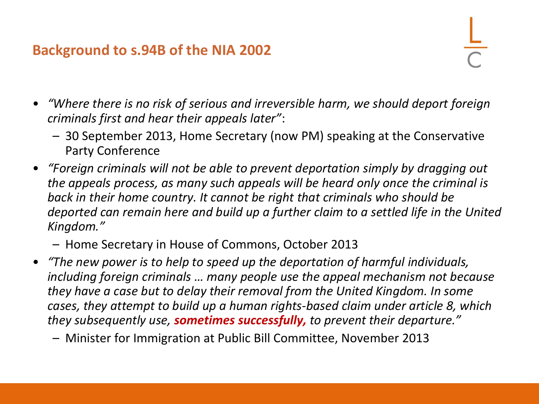- *"Where there is no risk of serious and irreversible harm, we should deport foreign criminals first and hear their appeals later"*:
	- 30 September 2013, Home Secretary (now PM) speaking at the Conservative Party Conference
- *"Foreign criminals will not be able to prevent deportation simply by dragging out the appeals process, as many such appeals will be heard only once the criminal is back in their home country. It cannot be right that criminals who should be deported can remain here and build up a further claim to a settled life in the United Kingdom."*

– Home Secretary in House of Commons, October 2013

• *"The new power is to help to speed up the deportation of harmful individuals, including foreign criminals … many people use the appeal mechanism not because they have a case but to delay their removal from the United Kingdom. In some cases, they attempt to build up a human rights-based claim under article 8, which they subsequently use, sometimes successfully, to prevent their departure."*

– Minister for Immigration at Public Bill Committee, November 2013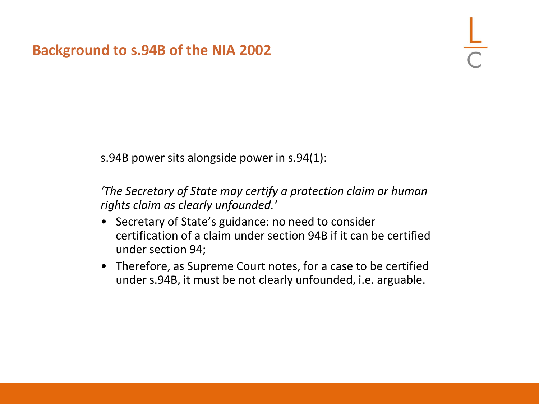s.94B power sits alongside power in s.94(1):

*'The Secretary of State may certify a protection claim or human rights claim as clearly unfounded.'*

- Secretary of State's guidance: no need to consider certification of a claim under section 94B if it can be certified under section 94;
- Therefore, as Supreme Court notes, for a case to be certified under s.94B, it must be not clearly unfounded, i.e. arguable.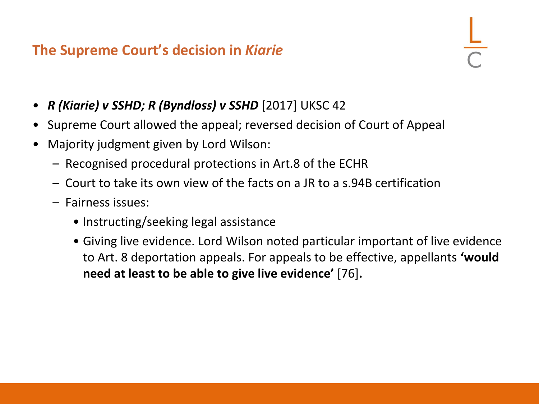- *R (Kiarie) v SSHD; R (Byndloss) v SSHD* [2017] UKSC 42
- Supreme Court allowed the appeal; reversed decision of Court of Appeal
- Majority judgment given by Lord Wilson:
	- Recognised procedural protections in Art.8 of the ECHR
	- Court to take its own view of the facts on a JR to a s.94B certification
	- Fairness issues:
		- Instructing/seeking legal assistance
		- Giving live evidence. Lord Wilson noted particular important of live evidence to Art. 8 deportation appeals. For appeals to be effective, appellants **'would need at least to be able to give live evidence'** [76]**.**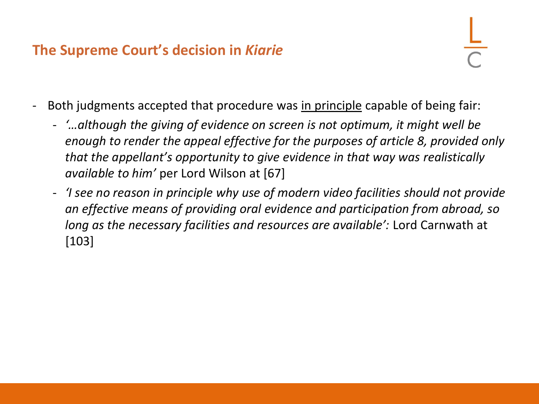- Both judgments accepted that procedure was in principle capable of being fair:
	- *'…although the giving of evidence on screen is not optimum, it might well be enough to render the appeal effective for the purposes of article 8, provided only that the appellant's opportunity to give evidence in that way was realistically available to him'* per Lord Wilson at [67]
	- *'I see no reason in principle why use of modern video facilities should not provide an effective means of providing oral evidence and participation from abroad, so long as the necessary facilities and resources are available':* Lord Carnwath at [103]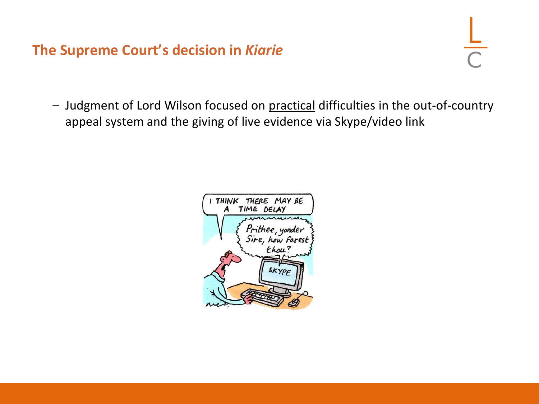– Judgment of Lord Wilson focused on practical difficulties in the out-of-country appeal system and the giving of live evidence via Skype/video link

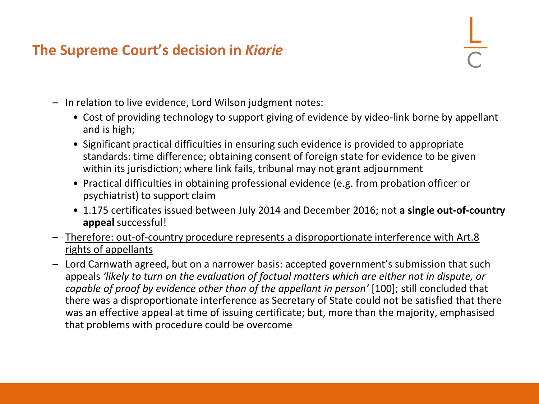- In relation to live evidence, Lord Wilson judgment notes:
	- Cost of providing technology to support giving of evidence by video-link borne by appellant and is high;
	- Significant practical difficulties in ensuring such evidence is provided to appropriate standards: time difference; obtaining consent of foreign state for evidence to be given within its jurisdiction; where link fails, tribunal may not grant adjournment
	- Practical difficulties in obtaining professional evidence (e.g. from probation officer or psychiatrist) to support claim
	- 1.175 certificates issued between July 2014 and December 2016; not **a single out-of-country appeal** successful!
- Therefore: out-of-country procedure represents a disproportionate interference with Art.8 rights of appellants
- Lord Carnwath agreed, but on a narrower basis: accepted government's submission that such appeals *'likely to turn on the evaluation of factual matters which are either not in dispute, or capable of proof by evidence other than of the appellant in person'* [100]; still concluded that there was a disproportionate interference as Secretary of State could not be satisfied that there was an effective appeal at time of issuing certificate; but, more than the majority, emphasised that problems with procedure could be overcome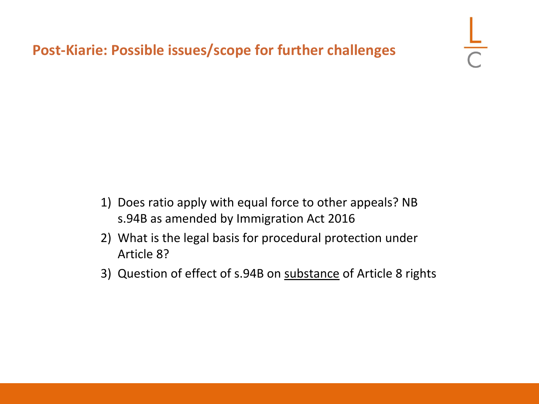- 1) Does ratio apply with equal force to other appeals? NB s.94B as amended by Immigration Act 2016
- 2) What is the legal basis for procedural protection under Article 8?
- 3) Question of effect of s.94B on substance of Article 8 rights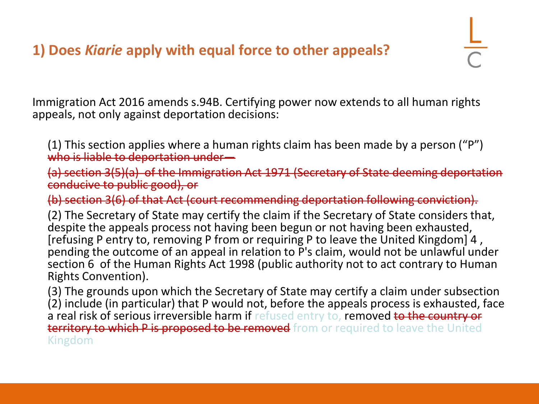# **1) Does** *Kiarie* **apply with equal force to other appeals?**

Immigration Act 2016 amends s.94B. Certifying power now extends to all human rights appeals, not only against deportation decisions:

(1) This section applies where a human rights claim has been made by a person ("P") who is liable to deportation under-

(a) section 3(5)(a) of the Immigration Act 1971 (Secretary of State deeming deportation conducive to public good), or

(b) section 3(6) of that Act (court recommending deportation following conviction).

(2) The Secretary of State may certify the claim if the Secretary of State considers that, despite the appeals process not having been begun or not having been exhausted, [refusing P entry to, removing P from or requiring P to leave the United Kingdom] 4 , pending the outcome of an appeal in relation to P's claim, would not be unlawful under section 6 of the Human Rights Act 1998 (public authority not to act contrary to Human Rights Convention).

(3) The grounds upon which the Secretary of State may certify a claim under subsection (2) include (in particular) that P would not, before the appeals process is exhausted, face a real risk of serious irreversible harm if refused entry to, removed to the country or territory to which P is proposed to be removed from or required to leave the United Kingdom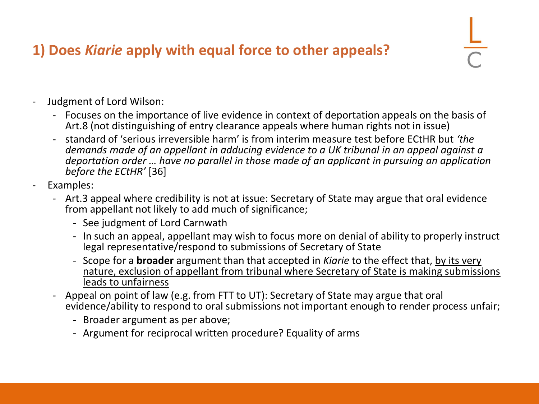# **1) Does** *Kiarie* **apply with equal force to other appeals?**

- Judgment of Lord Wilson:
	- Focuses on the importance of live evidence in context of deportation appeals on the basis of Art.8 (not distinguishing of entry clearance appeals where human rights not in issue)
	- standard of 'serious irreversible harm' is from interim measure test before ECtHR but *'the demands made of an appellant in adducing evidence to a UK tribunal in an appeal against a deportation order … have no parallel in those made of an applicant in pursuing an application before the ECtHR'* [36]
- Examples:
	- Art.3 appeal where credibility is not at issue: Secretary of State may argue that oral evidence from appellant not likely to add much of significance;
		- See judgment of Lord Carnwath
		- In such an appeal, appellant may wish to focus more on denial of ability to properly instruct legal representative/respond to submissions of Secretary of State
		- Scope for a **broader** argument than that accepted in *Kiarie* to the effect that, by its very nature, exclusion of appellant from tribunal where Secretary of State is making submissions leads to unfairness
	- Appeal on point of law (e.g. from FTT to UT): Secretary of State may argue that oral evidence/ability to respond to oral submissions not important enough to render process unfair;
		- Broader argument as per above;
		- Argument for reciprocal written procedure? Equality of arms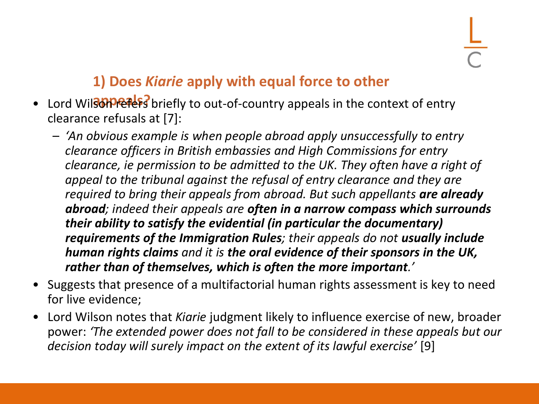# **1) Does** *Kiarie* **apply with equal force to other**

- Lord Wilson **Perets** briefly to out-of-country appeals in the context of entry clearance refusals at [7]:
	- *'An obvious example is when people abroad apply unsuccessfully to entry clearance officers in British embassies and High Commissions for entry clearance, ie permission to be admitted to the UK. They often have a right of appeal to the tribunal against the refusal of entry clearance and they are required to bring their appeals from abroad. But such appellants are already abroad; indeed their appeals are often in a narrow compass which surrounds their ability to satisfy the evidential (in particular the documentary) requirements of the Immigration Rules; their appeals do not usually include human rights claims and it is the oral evidence of their sponsors in the UK, rather than of themselves, which is often the more important.'*
- Suggests that presence of a multifactorial human rights assessment is key to need for live evidence;
- Lord Wilson notes that *Kiarie* judgment likely to influence exercise of new, broader power: *'The extended power does not fall to be considered in these appeals but our decision today will surely impact on the extent of its lawful exercise'* [9]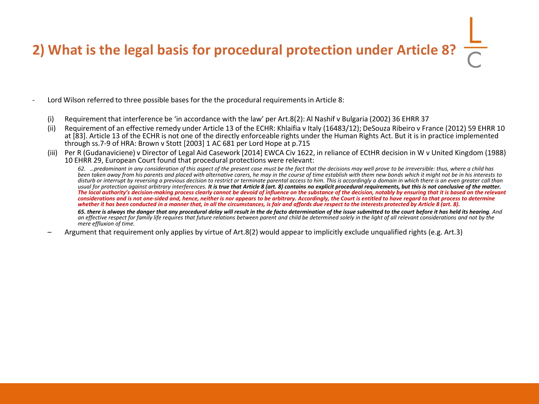# **2) What is the legal basis for procedural protection under Article 8?**

- Lord Wilson referred to three possible bases for the the procedural requirements in Article 8:
	- (i) Requirement that interference be 'in accordance with the law' per Art.8(2): Al Nashif v Bulgaria (2002) 36 EHRR 37
	- (ii) Requirement of an effective remedy under Article 13 of the ECHR: Khlaifia v Italy (16483/12); DeSouza Ribeiro v France (2012) 59 EHRR 10 at [83]. Article 13 of the ECHR is not one of the directly enforceable rights under the Human Rights Act. But it is in practice implemented through ss.7-9 of HRA: Brown v Stott [2003] 1 AC 681 per Lord Hope at p.715
	- Per R (Gudanaviciene) v Director of Legal Aid Casework [2014] EWCA Civ 1622, in reliance of ECtHR decision in W v United Kingdom (1988) 10 EHRR 29, European Court found that procedural protections were relevant:

*62. …predominant in any consideration of this aspect of the present case must be the fact that the decisions may well prove to be irreversible: thus, where a child has been taken away from his parents and placed with alternative carers, he may in the course of time establish with them new bonds which it might not be in his interests to disturb or interrupt by reversing a previous decision to restrict or terminate parental access to him. This is accordingly a domain in which there is an even greater call than usual for protection against arbitrary interferences. It is true that Article 8 (art. 8) contains no explicit procedural requirements, but this is not conclusive of the matter. The local authority's decision-making process clearly cannot be devoid of influence on the substance of the decision, notably by ensuring that it is based on the relevant considerations and is not one-sided and, hence, neither is nor appears to be arbitrary. Accordingly, the Court is entitled to have regard to that process to determine whether it has been conducted in a manner that, in all the circumstances, is fair and affords due respect to the interests protected by Article 8 (art. 8).*

*65. there is always the danger that any procedural delay will result in the de facto determination of the issue submitted to the court before it has held its hearing. And an effective respect for family life requires that future relations between parent and child be determined solely in the light of all relevant considerations and not by the mere effluxion of time.*

– Argument that requirement only applies by virtue of Art.8(2) would appear to implicitly exclude unqualified rights (e.g. Art.3)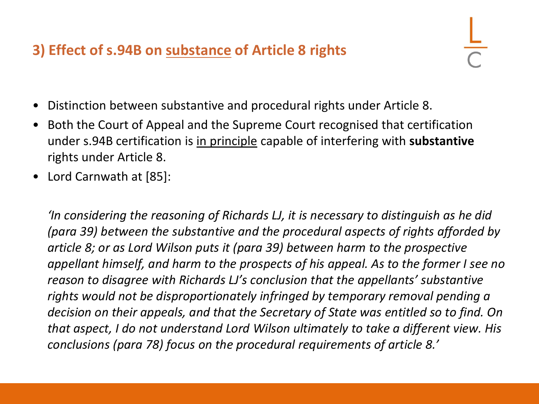# **3) Effect of s.94B on substance of Article 8 rights**

- Distinction between substantive and procedural rights under Article 8.
- Both the Court of Appeal and the Supreme Court recognised that certification under s.94B certification is in principle capable of interfering with **substantive**  rights under Article 8.
- Lord Carnwath at [85]:

*'In considering the reasoning of Richards LJ, it is necessary to distinguish as he did (para 39) between the substantive and the procedural aspects of rights afforded by article 8; or as Lord Wilson puts it (para 39) between harm to the prospective appellant himself, and harm to the prospects of his appeal. As to the former I see no reason to disagree with Richards LJ's conclusion that the appellants' substantive rights would not be disproportionately infringed by temporary removal pending a decision on their appeals, and that the Secretary of State was entitled so to find. On that aspect, I do not understand Lord Wilson ultimately to take a different view. His conclusions (para 78) focus on the procedural requirements of article 8.'*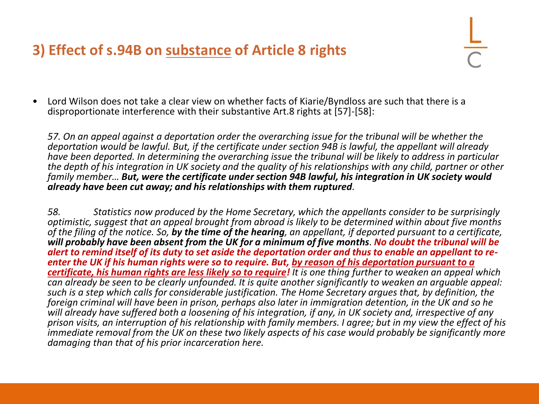# **3) Effect of s.94B on substance of Article 8 rights**

• Lord Wilson does not take a clear view on whether facts of Kiarie/Byndloss are such that there is a disproportionate interference with their substantive Art.8 rights at [57]-[58]:

*57. On an appeal against a deportation order the overarching issue for the tribunal will be whether the deportation would be lawful. But, if the certificate under section 94B is lawful, the appellant will already have been deported. In determining the overarching issue the tribunal will be likely to address in particular the depth of his integration in UK society and the quality of his relationships with any child, partner or other family member… But, were the certificate under section 94B lawful, his integration in UK society would already have been cut away; and his relationships with them ruptured.*

*58. Statistics now produced by the Home Secretary, which the appellants consider to be surprisingly optimistic, suggest that an appeal brought from abroad is likely to be determined within about five months of the filing of the notice. So, by the time of the hearing, an appellant, if deported pursuant to a certificate, will probably have been absent from the UK for a minimum of five months. No doubt the tribunal will be alert to remind itself of its duty to set aside the deportation order and thus to enable an appellant to reenter the UK if his human rights were so to require. But, by reason of his deportation pursuant to a certificate, his human rights are less likely so to require! It is one thing further to weaken an appeal which can already be seen to be clearly unfounded. It is quite another significantly to weaken an arguable appeal: such is a step which calls for considerable justification. The Home Secretary argues that, by definition, the foreign criminal will have been in prison, perhaps also later in immigration detention, in the UK and so he will already have suffered both a loosening of his integration, if any, in UK society and, irrespective of any prison visits, an interruption of his relationship with family members. I agree; but in my view the effect of his immediate removal from the UK on these two likely aspects of his case would probably be significantly more damaging than that of his prior incarceration here.*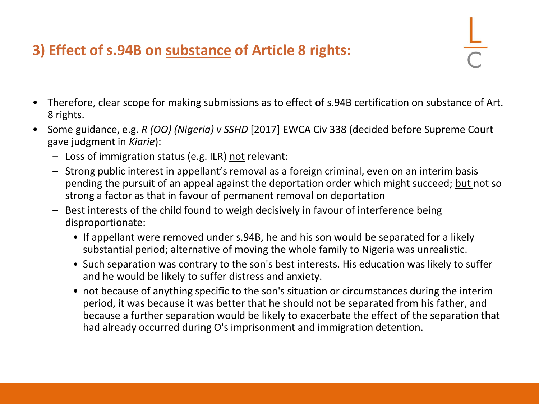# **3) Effect of s.94B on substance of Article 8 rights:**

- 
- Therefore, clear scope for making submissions as to effect of s.94B certification on substance of Art. 8 rights.
- Some guidance, e.g. *R (OO) (Nigeria) v SSHD* [2017] EWCA Civ 338 (decided before Supreme Court gave judgment in *Kiarie*):
	- Loss of immigration status (e.g. ILR) not relevant:
	- Strong public interest in appellant's removal as a foreign criminal, even on an interim basis pending the pursuit of an appeal against the deportation order which might succeed; but not so strong a factor as that in favour of permanent removal on deportation
	- Best interests of the child found to weigh decisively in favour of interference being disproportionate:
		- If appellant were removed under s.94B, he and his son would be separated for a likely substantial period; alternative of moving the whole family to Nigeria was unrealistic.
		- Such separation was contrary to the son's best interests. His education was likely to suffer and he would be likely to suffer distress and anxiety.
		- not because of anything specific to the son's situation or circumstances during the interim period, it was because it was better that he should not be separated from his father, and because a further separation would be likely to exacerbate the effect of the separation that had already occurred during O's imprisonment and immigration detention.